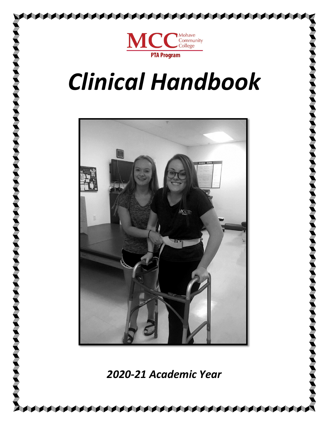

# *Clinical Handbook*



*2020-21 Academic Year*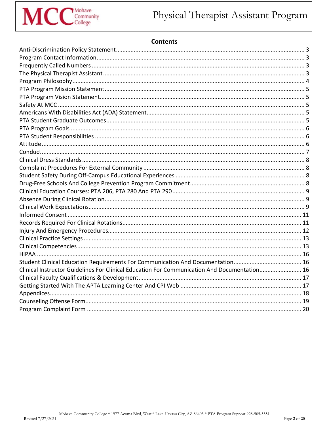

# **Contents**

| Clinical Instructor Guidelines For Clinical Education For Communication And Documentation 16 |  |
|----------------------------------------------------------------------------------------------|--|
|                                                                                              |  |
|                                                                                              |  |
|                                                                                              |  |
|                                                                                              |  |
|                                                                                              |  |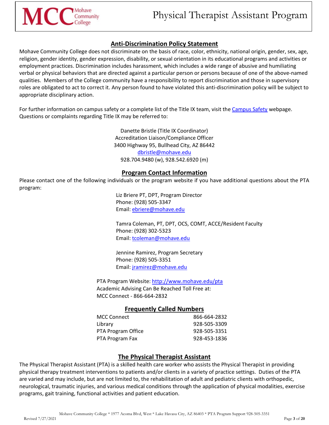

# **Anti-Discrimination Policy Statement**

<span id="page-2-0"></span>Mohave Community College does not discriminate on the basis of race, color, ethnicity, national origin, gender, sex, age, religion, gender identity, gender expression, disability, or sexual orientation in its educational programs and activities or employment practices. Discrimination includes harassment, which includes a wide range of abusive and humiliating verbal or physical behaviors that are directed against a particular person or persons because of one of the above-named qualities. Members of the College community have a responsibility to report discrimination and those in supervisory roles are obligated to act to correct it. Any person found to have violated this anti-discrimination policy will be subject to appropriate disciplinary action.

For further information on campus safety or a complete list of the Title IX team, visit the [Campus Safety](https://www.mohave.edu/about/safety/) webpage. Questions or complaints regarding Title IX may be referred to:

> Danette Bristle (Title IX Coordinator) Accreditation Liaison/Compliance Officer 3400 Highway 95, Bullhead City, AZ 86442 [dbristle@mohave.edu](mailto:dbristle@mohave.edu?subject=Anti-Discrimination%20Policy%20Statement) 928.704.9480 (w), 928.542.6920 (m)

## **Program Contact Information**

<span id="page-2-1"></span>Please contact one of the following individuals or the program website if you have additional questions about the PTA program:

> Liz Briere PT, DPT, Program Director Phone: (928) 505-3347 Email: [ebriere@mohave.edu](mailto:ebriere@mohave.edu)

Tamra Coleman, PT, DPT, OCS, COMT, ACCE/Resident Faculty Phone: (928) 302-5323 Email: [tcoleman@mohave.edu](mailto:tcoleman@mohave.edu)

Jennine Ramirez, Program Secretary Phone: (928) 505-3351 Email: [jramirez@mohave.edu](mailto:jramirez@mohave.edu)

PTA Program Website: <http://www.mohave.edu/pta> Academic Advising Can Be Reached Toll Free at: MCC Connect - 866-664-2832

## **Frequently Called Numbers**

| 866-664-2832 |
|--------------|
| 928-505-3309 |
| 928-505-3351 |
| 928-453-1836 |
|              |

## **The Physical Therapist Assistant**

<span id="page-2-3"></span><span id="page-2-2"></span>The Physical Therapist Assistant (PTA) is a skilled health care worker who assists the Physical Therapist in providing physical therapy treatment interventions to patients and/or clients in a variety of practice settings. Duties of the PTA are varied and may include, but are not limited to, the rehabilitation of adult and pediatric clients with orthopedic, neurological, traumatic injuries, and various medical conditions through the application of physical modalities, exercise programs, gait training, functional activities and patient education.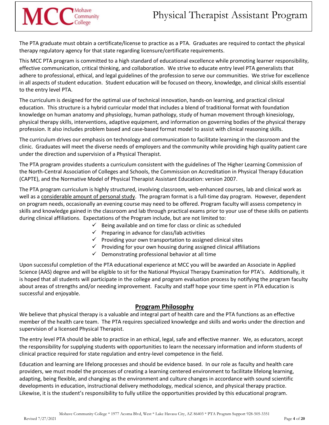The PTA graduate must obtain a certificate/license to practice as a PTA. Graduates are required to contact the physical therapy regulatory agency for that state regarding licensure/certificate requirements.

Mohave

MCC<sub>College</sub>

This MCC PTA program is committed to a high standard of educational excellence while promoting learner responsibility, effective communication, critical thinking, and collaboration. We strive to educate entry level PTA generalists that adhere to professional, ethical, and legal guidelines of the profession to serve our communities. We strive for excellence in all aspects of student education. Student education will be focused on theory, knowledge, and clinical skills essential to the entry level PTA.

The curriculum is designed for the optimal use of technical innovation, hands-on learning, and practical clinical education. This structure is a hybrid curricular model that includes a blend of traditional format with foundation knowledge on human anatomy and physiology, human pathology, study of human movement through kinesiology, physical therapy skills, interventions, adaptive equipment, and information on governing bodies of the physical therapy profession. It also includes problem based and case-based format model to assist with clinical reasoning skills.

The curriculum drives our emphasis on technology and communication to facilitate learning in the classroom and the clinic. Graduates will meet the diverse needs of employers and the community while providing high quality patient care under the direction and supervision of a Physical Therapist.

The PTA program provides students a curriculum consistent with the guidelines of The Higher Learning Commission of the North-Central Association of Colleges and Schools, the Commission on Accreditation in Physical Therapy Education (CAPTE), and the Normative Model of Physical Therapist Assistant Education: version 2007.

The PTA program curriculum is highly structured, involving classroom, web-enhanced courses, lab and clinical work as well as a considerable amount of personal study. The program format is a full-time day program. However, dependent on program needs, occasionally an evening course may need to be offered. Program faculty will assess competency in skills and knowledge gained in the classroom and lab through practical exams prior to your use of these skills on patients during clinical affiliations. Expectations of the Program include, but are not limited to:

- $\checkmark$  Being available and on time for class or clinic as scheduled
- $\checkmark$  Preparing in advance for class/lab activities
- $\checkmark$  Providing your own transportation to assigned clinical sites
- $\checkmark$  Providing for your own housing during assigned clinical affiliations
- $\checkmark$  Demonstrating professional behavior at all time

Upon successful completion of the PTA educational experience at MCC you will be awarded an Associate in Applied Science (AAS) degree and will be eligible to sit for the National Physical Therapy Examination for PTA's. Additionally, it is hoped that all students will participate in the college and program evaluation process by notifying the program faculty about areas of strengths and/or needing improvement. Faculty and staff hope your time spent in PTA education is successful and enjoyable.

## **Program Philosophy**

<span id="page-3-0"></span>We believe that physical therapy is a valuable and integral part of health care and the PTA functions as an effective member of the health care team. The PTA requires specialized knowledge and skills and works under the direction and supervision of a licensed Physical Therapist.

The entry level PTA should be able to practice in an ethical, legal, safe and effective manner. We, as educators, accept the responsibility for supplying students with opportunities to learn the necessary information and inform students of clinical practice required for state regulation and entry-level competence in the field.

Education and learning are lifelong processes and should be evidence based. In our role as faculty and health care providers, we must model the processes of creating a learning centered environment to facilitate lifelong learning, adapting, being flexible, and changing as the environment and culture changes in accordance with sound scientific developments in education, instructional delivery methodology, medical science, and physical therapy practice. Likewise, it is the student's responsibility to fully utilize the opportunities provided by this educational program.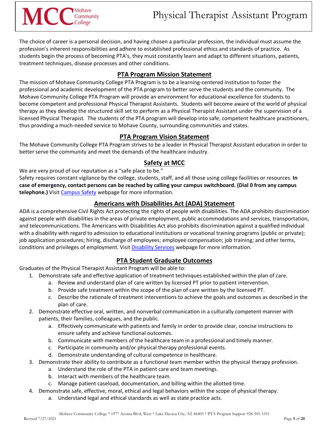The choice of career is a personal decision, and having chosen a particular profession, the individual must assume the profession's inherent responsibilities and adhere to established professional ethics and standards of practice. As students begin the process of becoming PTA's, they must constantly learn and adapt to different situations, patients, treatment techniques, disease processes and other conditions.

# **PTA Program Mission Statement**

<span id="page-4-0"></span>The mission of Mohave Community College PTA Program is to be a learning-centered institution to foster the professional and academic development of the PTA program to better serve the students and the community. The Mohave Community College PTA Program will provide an environment for educational excellence for students to become competent and professional Physical Therapist Assistants. Students will become aware of the world of physical therapy as they develop the structured skill set to perform as a Physical Therapist Assistant under the supervision of a licensed Physical Therapist. The students of the PTA program will develop into safe, competent healthcare practitioners, thus providing a much-needed service to Mohave County, surrounding communities and states.

# **PTA Program Vision Statement**

<span id="page-4-1"></span>The Mohave Community College PTA Program strives to be a leader in Physical Therapist Assistant education in order to better serve the community and meet the demands of the healthcare industry.

# **Safety at MCC**

<span id="page-4-2"></span>We are very proud of our reputation as a "safe place to be."

Safety requires constant vigilance by the college, students, staff, and all those using college facilities or resources. **In case of emergency, contact persons can be reached by calling your campus switchboard. (Dial 0 from any campus telephone.)** Visi[t Campus Safety](https://www.mohave.edu/about/safety/) webpage for more information.

# **Americans with Disabilities Act (ADA) Statement**

<span id="page-4-3"></span>ADA is a comprehensive Civil Rights Act protecting the rights of people with disabilities. The ADA prohibits discrimination against people with disabilities in the areas of private employment, public accommodations and services, transportation, and telecommunications. The Americans with Disabilities Act also prohibits discrimination against a qualified individual with a disability with regard to admission to educational institutions or vocational training programs (public or private); job application procedures; hiring, discharge of employees; employee compensation; job training; and other terms, conditions and privileges of employment. Visit [Disability Services](https://www.mohave.edu/resources/disabilityservices/) webpage for more information.

# **PTA Student Graduate Outcomes**

<span id="page-4-4"></span>Graduates of the Physical Therapist Assistant Program will be able to:

- 1. Demonstrate safe and effective application of treatment techniques established within the plan of care.
	- a. Review and understand plan of care written by licensed PT prior to patient intervention.
	- b. Provide safe treatment within the scope of the plan of care written by the licensed PT.
	- c. Describe the rationale of treatment interventions to achieve the goals and outcomes as described in the plan of care.
- 2. Demonstrate effective oral, written, and nonverbal communication in a culturally competent manner with patients, their families, colleagues, and the public.
	- a. Effectively communicate with patients and family in order to provide clear, concise instructions to ensure safety and achieve functional outcomes.
	- b. Communicate with members of the healthcare team in a professional and timely manner.
	- c. Participate in community and/or physical therapy professional events.
	- d. Demonstrate understanding of cultural competence in healthcare.
- 3. Demonstrate their ability to contribute as a functional team member within the physical therapy profession.
	- a. Understand the role of the PTA in patient care and team meetings.
	- b. Interact with members of the healthcare team.
	- c. Manage patient caseload, documentation, and billing within the allotted time.
- 4. Demonstrate safe, effective, moral, ethical and legal behaviors within the scope of physical therapy.
	- a. Understand legal and ethical standards as well as state practice acts.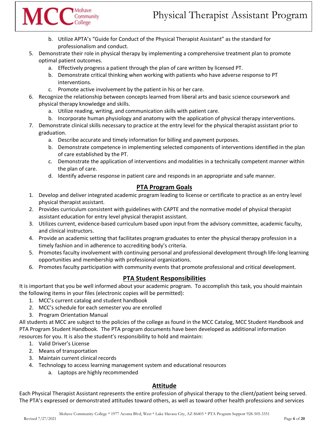- b. Utilize APTA's "Guide for Conduct of the Physical Therapist Assistant" as the standard for professionalism and conduct.
- 5. Demonstrate their role in physical therapy by implementing a comprehensive treatment plan to promote optimal patient outcomes.
	- a. Effectively progress a patient through the plan of care written by licensed PT.
	- b. Demonstrate critical thinking when working with patients who have adverse response to PT interventions.
	- c. Promote active involvement by the patient in his or her care.

Mohave

MCCCCOmmunity

- 6. Recognize the relationship between concepts learned from liberal arts and basic science coursework and physical therapy knowledge and skills.
	- a. Utilize reading, writing, and communication skills with patient care.
	- b. Incorporate human physiology and anatomy with the application of physical therapy interventions.
- 7. Demonstrate clinical skills necessary to practice at the entry level for the physical therapist assistant prior to graduation.
	- a. Describe accurate and timely information for billing and payment purposes.
	- b. Demonstrate competence in implementing selected components of interventions identified in the plan of care established by the PT.
	- c. Demonstrate the application of interventions and modalities in a technically competent manner within the plan of care.
	- d. Identify adverse response in patient care and responds in an appropriate and safe manner.

# **PTA Program Goals**

- <span id="page-5-0"></span>1. Develop and deliver integrated academic program leading to license or certificate to practice as an entry level physical therapist assistant.
- 2. Provides curriculum consistent with guidelines with CAPTE and the normative model of physical therapist assistant education for entry level physical therapist assistant.
- 3. Utilizes current, evidence-based curriculum based upon input from the advisory committee, academic faculty, and clinical instructors.
- 4. Provide an academic setting that facilitates program graduates to enter the physical therapy profession in a timely fashion and in adherence to accrediting body's criteria.
- 5. Promotes faculty involvement with continuing personal and professional development through life-long learning opportunities and membership with professional organizations.
- 6. Promotes faculty participation with community events that promote professional and critical development.

# **PTA Student Responsibilities**

<span id="page-5-1"></span>It is important that you be well informed about your academic program. To accomplish this task, you should maintain the following items in your files (electronic copies will be permitted):

- 1. MCC's current catalog and student handbook
- 2. MCC's schedule for each semester you are enrolled
- 3. Program Orientation Manual

All students at MCC are subject to the policies of the college as found in the MCC Catalog, MCC Student Handbook and PTA Program Student Handbook. The PTA program documents have been developed as additional information resources for you. It is also the student's responsibility to hold and maintain:

- 1. Valid Driver's License
- 2. Means of transportation
- 3. Maintain current clinical records
- 4. Technology to access learning management system and educational resources
	- a. Laptops are highly recommended

# **Attitude**

<span id="page-5-2"></span>Each Physical Therapist Assistant represents the entire profession of physical therapy to the client/patient being served. The PTA's expressed or demonstrated attitudes toward others, as well as toward other health professions and services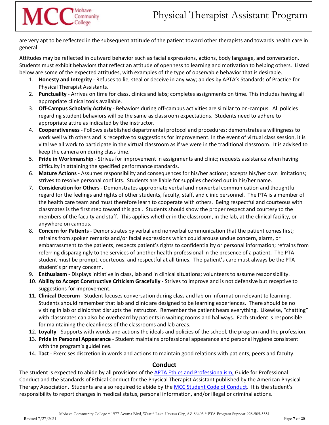are very apt to be reflected in the subsequent attitude of the patient toward other therapists and towards health care in general.

Mohave

MCC<sub>College</sub>

Attitudes may be reflected in outward behavior such as facial expressions, actions, body language, and conversation. Students must exhibit behaviors that reflect an attitude of openness to learning and motivation to helping others. Listed below are some of the expected attitudes, with examples of the type of observable behavior that is desirable.

- 1. **Honesty and Integrity** Refuses to lie, steal or deceive in any way; abides by APTA's Standards of Practice for Physical Therapist Assistants.
- 2. **Punctuality** Arrives on time for class, clinics and labs; completes assignments on time. This includes having all appropriate clinical tools available.
- 3. **Off-Campus Scholarly Activity** Behaviors during off-campus activities are similar to on-campus. All policies regarding student behaviors will be the same as classroom expectations. Students need to adhere to appropriate attire as indicated by the instructor.
- 4. **Cooperativeness** Follows established departmental protocol and procedures; demonstrates a willingness to work well with others and is receptive to suggestions for improvement. In the event of virtual class session, it is vital we all work to participate in the virtual classroom as if we were in the traditional classroom. It is advised to keep the camera on during class time.
- 5. **Pride in Workmanship** Strives for improvement in assignments and clinic; requests assistance when having difficulty in attaining the specified performance standards.
- 6. **Mature Actions** Assumes responsibility and consequences for his/her actions; accepts his/her own limitations; strives to resolve personal conflicts. Students are liable for supplies checked out in his/her name.
- 7. **Consideration for Others** Demonstrates appropriate verbal and nonverbal communication and thoughtful regard for the feelings and rights of other students, faculty, staff, and clinic personnel. The PTA is a member of the health care team and must therefore learn to cooperate with others. Being respectful and courteous with classmates is the first step toward this goal. Students should show the proper respect and courtesy to the members of the faculty and staff. This applies whether in the classroom, in the lab, at the clinical facility, or anywhere on campus.
- 8. **Concern for Patients** Demonstrates by verbal and nonverbal communication that the patient comes first; refrains from spoken remarks and/or facial expressions which could arouse undue concern, alarm, or embarrassment to the patients; respects patient's rights to confidentiality or personal information; refrains from referring disparagingly to the services of another health professional in the presence of a patient. The PTA student must be prompt, courteous, and respectful at all times. The patient's care must always be the PTA student's primary concern.
- 9. **Enthusiasm** Displays initiative in class, lab and in clinical situations; volunteers to assume responsibility.
- 10. **Ability to Accept Constructive Criticism Gracefully** Strives to improve and is not defensive but receptive to suggestions for improvement.
- 11. **Clinical Decorum** Student focuses conversation during class and lab on information relevant to learning. Students should remember that lab and clinic are designed to be learning experiences. There should be no visiting in lab or clinic that disrupts the instructor. Remember the patient hears everything. Likewise, "chatting" with classmates can also be overheard by patients in waiting rooms and hallways. Each student is responsible for maintaining the cleanliness of the classrooms and lab areas.
- 12. **Loyalty** Supports with words and actions the ideals and policies of the school, the program and the profession.
- 13. **Pride in Personal Appearance** Student maintains professional appearance and personal hygiene consistent with the program's guidelines.
- 14. **Tact** Exercises discretion in words and actions to maintain good relations with patients, peers and faculty.

## **Conduct**

<span id="page-6-0"></span>The student is expected to abide by all provisions of the [APTA Ethics and Professionalism,](https://www.apta.org/your-practice/ethics-and-professionalism) Guide for Professional Conduct and the Standards of Ethical Conduct for the Physical Therapist Assistant published by the American Physical Therapy Association. Students are also required to abide by the [MCC Student Code of Conduct.](http://catalog.mohave.edu/content.php?catoid=62&navoid=19205) It is the student's responsibility to report changes in medical status, personal information, and/or illegal or criminal actions.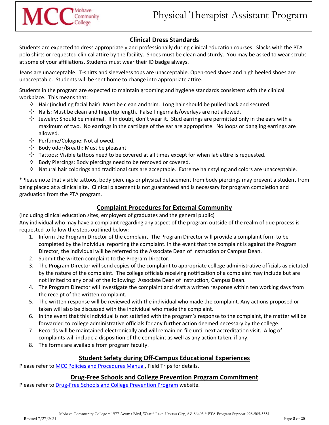# **Clinical Dress Standards**

<span id="page-7-0"></span>Students are expected to dress appropriately and professionally during clinical education courses. Slacks with the PTA polo shirts or requested clinical attire by the facility. Shoes must be clean and sturdy. You may be asked to wear scrubs at some of your affiliations. Students must wear their ID badge always.

Jeans are unacceptable. T-shirts and sleeveless tops are unacceptable. Open-toed shoes and high heeled shoes are unacceptable. Students will be sent home to change into appropriate attire.

Students in the program are expected to maintain grooming and hygiene standards consistent with the clinical workplace. This means that:

- $\Diamond$  Hair (including facial hair): Must be clean and trim. Long hair should be pulled back and secured.
- $\Diamond$  Nails: Must be clean and fingertip length. False fingernails/overlays are not allowed.
- $\Diamond$  Jewelry: Should be minimal. If in doubt, don't wear it. Stud earrings are permitted only in the ears with a maximum of two. No earrings in the cartilage of the ear are appropriate. No loops or dangling earrings are allowed.
- $\Diamond$  Perfume/Cologne: Not allowed.
- $\Diamond$  Body odor/Breath: Must be pleasant.
- $\Diamond$  Tattoos: Visible tattoos need to be covered at all times except for when lab attire is requested.
- $\Diamond$  Body Piercings: Body piercings need to be removed or covered.
- $\Diamond$  Natural hair colorings and traditional cuts are acceptable. Extreme hair styling and colors are unacceptable.

\*Please note that visible tattoos, body piercings or physical defacement from body piercings may prevent a student from being placed at a clinical site. Clinical placement is not guaranteed and is necessary for program completion and graduation from the PTA program.

# **Complaint Procedures for External Community**

<span id="page-7-1"></span>(Including clinical education sites, employers of graduates and the general public) Any individual who may have a complaint regarding any aspect of the program outside of the realm of due process is requested to follow the steps outlined below:

- 1. Inform the Program Director of the complaint. The Program Director will provide a complaint form to be completed by the individual reporting the complaint. In the event that the complaint is against the Program Director, the individual will be referred to the Associate Dean of Instruction or Campus Dean.
- 2. Submit the written complaint to the Program Director.
- 3. The Program Director will send copies of the complaint to appropriate college administrative officials as dictated by the nature of the complaint. The college officials receiving notification of a complaint may include but are not limited to any or all of the following: Associate Dean of Instruction, Campus Dean.
- 4. The Program Director will investigate the complaint and draft a written response within ten working days from the receipt of the written complaint.
- 5. The written response will be reviewed with the individual who made the complaint. Any actions proposed or taken will also be discussed with the individual who made the complaint.
- 6. In the event that this individual is not satisfied with the program's response to the complaint, the matter will be forwarded to college administrative officials for any further action deemed necessary by the college.
- 7. Records will be maintained electronically and will remain on file until next accreditation visit. A log of complaints will include a disposition of the complaint as well as any action taken, if any.
- 8. The forms are available from program faculty.

# **Student Safety during Off-Campus Educational Experiences**

<span id="page-7-2"></span>Please refer to **MCC Policies and Procedures Manual**, Field Trips for details.

# **Drug-Free Schools and College Prevention Program Commitment**

<span id="page-7-3"></span>Please refer t[o Drug-Free Schools and College Prevention Program](https://www.mohave.edu/resources/drug-free-schools-and-college-prevention-program/) website.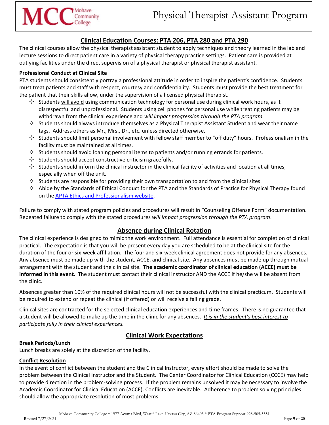# **Clinical Education Courses: PTA 206, PTA 280 and PTA 290**

<span id="page-8-0"></span>The clinical courses allow the physical therapist assistant student to apply techniques and theory learned in the lab and lecture sessions to direct patient care in a variety of physical therapy practice settings. Patient care is provided at outlying facilities under the direct supervision of a physical therapist or physical therapist assistant.

# **Professional Conduct at Clinical Site**

PTA students should consistently portray a professional attitude in order to inspire the patient's confidence. Students must treat patients and staff with respect, courtesy and confidentiality. Students must provide the best treatment for the patient that their skills allow, under the supervision of a licensed physical therapist.

- $\diamond$  Students will avoid using communication technology for personal use during clinical work hours, as it disrespectful and unprofessional. Students using cell phones for personal use while treating patients may be withdrawn from the clinical experience and *will impact progression through the PTA program.*
- $\diamond$  Students should always introduce themselves as a Physical Therapist Assistant Student and wear their name tags. Address others as Mr., Mrs., Dr., etc. unless directed otherwise.
- $\Diamond$  Students should limit personal involvement with fellow staff member to "off duty" hours. Professionalism in the facility must be maintained at all times.
- $\diamond$  Students should avoid loaning personal items to patients and/or running errands for patients.
- $\Diamond$  Students should accept constructive criticism gracefully.
- $\diamond$  Students should inform the clinical instructor in the clinical facility of activities and location at all times, especially when off the unit.
- $\diamond$  Students are responsible for providing their own transportation to and from the clinical sites.
- $\Diamond$  Abide by the Standards of Ethical Conduct for the PTA and the Standards of Practice for Physical Therapy found on the [APTA Ethics and Professionalism website.](https://www.apta.org/your-practice/ethics-and-professionalism)

Failure to comply with stated program policies and procedures will result in "Counseling Offense Form" documentation. Repeated failure to comply with the stated procedures *will impact progression through the PTA program*.

# **Absence during Clinical Rotation**

<span id="page-8-1"></span>The clinical experience is designed to mimic the work environment. Full attendance is essential for completion of clinical practical. The expectation is that you will be present every day you are scheduled to be at the clinical site for the duration of the four or six-week affiliation. The four and six-week clinical agreement does not provide for any absences. Any absence must be made up with the student, ACCE, and clinical site. Any absences must be made up through mutual arrangement with the student and the clinical site. **The academic coordinator of clinical education (ACCE) must be informed in this event.** The student must contact their clinical instructor AND the ACCE if he/she will be absent from the clinic.

Absences greater than 10% of the required clinical hours will not be successful with the clinical practicum. Students will be required to extend or repeat the clinical (if offered) or will receive a failing grade.

Clinical sites are contracted for the selected clinical education experiences and time frames. There is no guarantee that a student will be allowed to make up the time in the clinic for any absences. *It is in the student's best interest to participate fully in their clinical experiences.* 

# **Clinical Work Expectations**

## <span id="page-8-2"></span>**Break Periods/Lunch**

Lunch breaks are solely at the discretion of the facility.

## **Conflict Resolution**

In the event of conflict between the student and the Clinical Instructor, every effort should be made to solve the problem between the Clinical Instructor and the Student. The Center Coordinator for Clinical Education (CCCE) may help to provide direction in the problem-solving process. If the problem remains unsolved it may be necessary to involve the Academic Coordinator for Clinical Education (ACCE). Conflicts are inevitable. Adherence to problem solving principles should allow the appropriate resolution of most problems.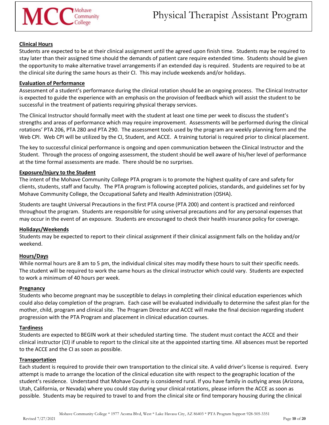#### **Clinical Hours**

Students are expected to be at their clinical assignment until the agreed upon finish time. Students may be required to stay later than their assigned time should the demands of patient care require extended time. Students should be given the opportunity to make alternative travel arrangements if an extended day is required. Students are required to be at the clinical site during the same hours as their CI. This may include weekends and/or holidays.

#### **Evaluation of Performance**

Assessment of a student's performance during the clinical rotation should be an ongoing process. The Clinical Instructor is expected to guide the experience with an emphasis on the provision of feedback which will assist the student to be successful in the treatment of patients requiring physical therapy services.

The Clinical Instructor should formally meet with the student at least one time per week to discuss the student's strengths and areas of performance which may require improvement. Assessments will be performed during the clinical rotations' PTA 206, PTA 280 and PTA 290. The assessment tools used by the program are weekly planning form and the Web CPI. Web CPI will be utilized by the CI, Student, and ACCE. A training tutorial is required prior to clinical placement.

The key to successful clinical performance is ongoing and open communication between the Clinical Instructor and the Student. Through the process of ongoing assessment, the student should be well aware of his/her level of performance at the time formal assessments are made. There should be no surprises.

#### **Exposure/Injury to the Student**

The intent of the Mohave Community College PTA program is to promote the highest quality of care and safety for clients, students, staff and faculty. The PTA program is following accepted policies, standards, and guidelines set for by Mohave Community College, the Occupational Safety and Health Administration (OSHA).

Students are taught Universal Precautions in the first PTA course (PTA 200) and content is practiced and reinforced throughout the program. Students are responsible for using universal precautions and for any personal expenses that may occur in the event of an exposure. Students are encouraged to check their health insurance policy for coverage.

#### **Holidays/Weekends**

Students may be expected to report to their clinical assignment if their clinical assignment falls on the holiday and/or weekend.

#### **Hours/Days**

While normal hours are 8 am to 5 pm, the individual clinical sites may modify these hours to suit their specific needs. The student will be required to work the same hours as the clinical instructor which could vary. Students are expected to work a minimum of 40 hours per week.

#### **Pregnancy**

Students who become pregnant may be susceptible to delays in completing their clinical education experiences which could also delay completion of the program. Each case will be evaluated individually to determine the safest plan for the mother, child, program and clinical site. The Program Director and ACCE will make the final decision regarding student progression with the PTA Program and placement in clinical education courses.

#### **Tardiness**

Students are expected to BEGIN work at their scheduled starting time. The student must contact the ACCE and their clinical instructor (CI) if unable to report to the clinical site at the appointed starting time. All absences must be reported to the ACCE and the CI as soon as possible.

#### **Transportation**

Each student is required to provide their own transportation to the clinical site. A valid driver's license is required. Every attempt is made to arrange the location of the clinical education site with respect to the geographic location of the student's residence. Understand that Mohave County is considered rural. If you have family in outlying areas (Arizona, Utah, California, or Nevada) where you could stay during your clinical rotations, please inform the ACCE as soon as possible. Students may be required to travel to and from the clinical site or find temporary housing during the clinical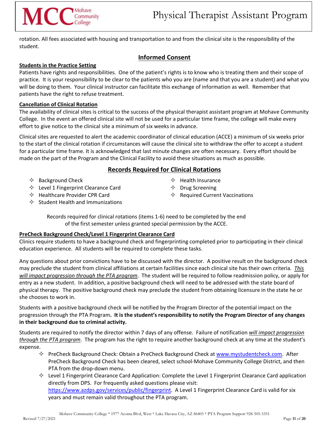# MCC<sup>Mohave</sup> Mohave

rotation. All fees associated with housing and transportation to and from the clinical site is the responsibility of the student.

# **Informed Consent**

#### <span id="page-10-0"></span>**Students in the Practice Setting**

Patients have rights and responsibilities. One of the patient's rights is to know who is treating them and their scope of practice. It is your responsibility to be clear to the patients who you are (name and that you are a student) and what you will be doing to them. Your clinical instructor can facilitate this exchange of information as well. Remember that patients have the right to refuse treatment.

#### **Cancellation of Clinical Rotation**

The availability of clinical sites is critical to the success of the physical therapist assistant program at Mohave Community College. In the event an offered clinical site will not be used for a particular time frame, the college will make every effort to give notice to the clinical site a minimum of six weeks in advance.

Clinical sites are requested to alert the academic coordinator of clinical education (ACCE) a minimum of six weeks prior to the start of the clinical rotation if circumstances will cause the clinical site to withdraw the offer to accept a student for a particular time frame. It is acknowledged that last minute changes are often necessary. Every effort should be made on the part of the Program and the Clinical Facility to avoid these situations as much as possible.

# **Records Required for Clinical Rotations**

- <span id="page-10-1"></span> $\Diamond$  Background Check
- $\Diamond$  Level 1 Fingerprint Clearance Card
- $\Leftrightarrow$  Health Insurance
- $\Diamond$  Drug Screening  $\Leftrightarrow$  Required Current Vaccinations
- $\Diamond$  Healthcare Provider CPR Card
- $\Diamond$  Student Health and Immunizations

Records required for clinical rotations (items 1-6) need to be completed by the end of the first semester unless granted special permission by the ACCE.

#### **PreCheck Background Check/Level 1 Fingerprint Clearance Card**

Clinics require students to have a background check and fingerprinting completed prior to participating in their clinical education experience. All students will be required to complete these tasks.

Any questions about prior convictions have to be discussed with the director. A positive result on the background check may preclude the student from clinical affiliations at certain facilities since each clinical site has their own criteria. *This will impact progression through the PTA program*. The student will be required to follow readmission policy, or apply for entry as a new student. In addition, a positive background check will need to be addressed with the state board of physical therapy. The positive background check may preclude the student from obtaining licensure in the state he or she chooses to work in.

Students with a positive background check will be notified by the Program Director of the potential impact on the progression through the PTA Program**. It is the student's responsibility to notify the Program Director of any changes in their background due to criminal activity.**

Students are required to notify the director within 7 days of any offense. Failure of notification *will impact progression through the PTA program*. The program has the right to require another background check at any time at the student's expense.

- $\Diamond$  PreCheck Background Check: Obtain a PreCheck Background Check at [www.mystudentcheck.com.](http://www.mystudentcheck.com/) After PreCheck Background Check has been cleared, select school-Mohave Community College District, and then PTA from the drop-down menu.
- $\Diamond$  Level 1 Fingerprint Clearance Card Application: Complete the Level 1 Fingerprint Clearance Card application directly from DPS. For frequently asked questions please visit: [https://www.azdps.gov/services/public/fingerprint.](https://www.azdps.gov/services/public/fingerprint) A Level 1 Fingerprint Clearance Card is valid for six years and must remain valid throughout the PTA program.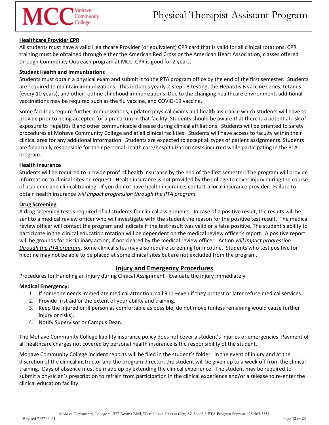#### **Healthcare Provider CPR**

All students must have a valid Healthcare Provider (or equivalent) CPR card that is valid for all clinical rotations. CPR training must be obtained through either the American Red Cross or the American Heart Association, classes offered through Community Outreach program at MCC. CPR is good for 2 years.

#### **Student Health and Immunizations**

Students must obtain a physical exam and submit it to the PTA program office by the end of the first semester. Students are required to maintain immunizations. This includes yearly 2-step TB testing, the Hepatitis B vaccine series, tetanus (every 10 years), and other routine childhood immunizations. Due to the changing healthcare environment, additional vaccinations may be required such as the flu vaccine, and COVID-19 vaccine.

Some facilities require further immunizations, updated physical exams and health insurance which students will have to provide prior to being accepted for a practicum in that facility. Students should be aware that there is a potential risk of exposure to Hepatitis B and other communicable disease during clinical affiliations. Students will be oriented to safety procedures at Mohave Community College and at all clinical facilities. Students will have access to faculty within their clinical area for any additional information. Students are expected to accept all types of patient assignments. Students are financially responsible for their personal health care/hospitalization costs incurred while participating in the PTA program.

#### **Health Insurance**

Students will be required to provide proof of health insurance by the end of the first semester. The program will provide information to clinical sites on request. Health insurance is not provided by the college to cover injury during the course of academic and clinical training. If you do not have health insurance, contact a local insurance provider. Failure to obtain health insurance *will impact progression through the PTA program*

#### **Drug Screening**

A drug screening test is required of all students for clinical assignments. In case of a positive result, the results will be sent to a medical review officer who will investigate with the student the reason for the positive test result. The medical review officer will contact the program and indicate if the test result was valid or a false positive. The student's ability to participate in the clinical education rotation will be dependent on the medical review officer's report. A positive report will be grounds for disciplinary action, if not cleared by the medical review officer. Action *will impact progression through the PTA program*. Some clinical sites may also require screening for nicotine. Students who test positive for nicotine may not be able to be placed at some clinical sites but are not excluded from the program.

## **Injury and Emergency Procedures**

<span id="page-11-0"></span>Procedures for Handling an Injury during Clinical Assignment - Evaluate the injury immediately.

#### **Medical Emergency:**

- 1. If someone needs immediate medical attention, call 911 –even if they protest or later refuse medical services.
- 2. Provide first aid or the extent of your ability and training.
- 3. Keep the injured or ill person as comfortable as possible; do not move (unless remaining would cause further injury or risks).
- 4. Notify Supervisor or Campus Dean.

The Mohave Community College liability insurance policy does not cover a student's injuries or emergencies. Payment of all healthcare charges not covered by personal health insurance is the responsibility of the student.

Mohave Community College incident reports will be filed in the student's folder. In the event of injury and at the discretion of the clinical instructor and the program director, the student will be given up to a week off from the clinical training. Days of absence must be made up by extending the clinical experience. The student may be required to submit a physician's prescription to refrain from participation in the clinical experience and/or a release to re-enter the clinical education facility.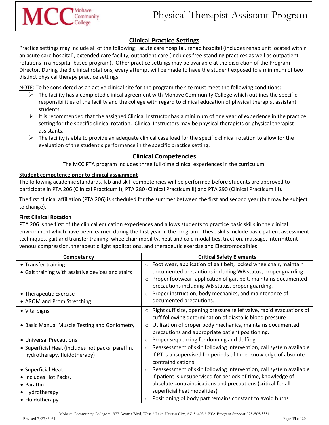# **Clinical Practice Settings**

<span id="page-12-0"></span>Practice settings may include all of the following: acute care hospital, rehab hospital (includes rehab unit located within an acute care hospital), extended care facility, outpatient care (includes free-standing practices as well as outpatient rotations in a hospital-based program). Other practice settings may be available at the discretion of the Program Director. During the 3 clinical rotations, every attempt will be made to have the student exposed to a minimum of two distinct physical therapy practice settings.

NOTE: To be considered as an active clinical site for the program the site must meet the following conditions:

- $\triangleright$  The facility has a completed clinical agreement with Mohave Community College which outlines the specific responsibilities of the facility and the college with regard to clinical education of physical therapist assistant students.
- $\triangleright$  It is recommended that the assigned Clinical Instructor has a minimum of one year of experience in the practice setting for the specific clinical rotation. Clinical Instructors may be physical therapists or physical therapist assistants.
- <span id="page-12-1"></span> $\triangleright$  The facility is able to provide an adequate clinical case load for the specific clinical rotation to allow for the evaluation of the student's performance in the specific practice setting.

# **Clinical Competencies**

The MCC PTA program includes three full-time clinical experiences in the curriculum.

## **Student competence prior to clinical assignment**

The following academic standards, lab and skill competencies will be performed before students are approved to participate in PTA 206 (Clinical Practicum I), PTA 280 (Clinical Practicum II) and PTA 290 (Clinical Practicum III).

The first clinical affiliation (PTA 206) is scheduled for the summer between the first and second year (but may be subject to change).

## **First Clinical Rotation**

PTA 206 is the first of the clinical education experiences and allows students to practice basic skills in the clinical environment which have been learned during the first year in the program. These skills include basic patient assessment techniques, gait and transfer training, wheelchair mobility, heat and cold modalities, traction, massage, intermittent venous compression, therapeutic light applications, and therapeutic exercise and Electromodalities.

| Competency                                                                                     | <b>Critical Safety Elements</b>                                                                                                                                                                                                                                                                  |
|------------------------------------------------------------------------------------------------|--------------------------------------------------------------------------------------------------------------------------------------------------------------------------------------------------------------------------------------------------------------------------------------------------|
| • Transfer training<br>• Gait training with assistive devices and stairs                       | Foot wear, application of gait belt, locked wheelchair, maintain<br>$\circ$<br>documented precautions including WB status, proper guarding<br>Proper footwear, application of gait belt, maintains documented<br>precautions including WB status, proper guarding.                               |
| • Therapeutic Exercise<br>• AROM and Prom Stretching                                           | Proper instruction, body mechanics, and maintenance of<br>$\circ$<br>documented precautions.                                                                                                                                                                                                     |
| • Vital signs                                                                                  | $\circ$ Right cuff size, opening pressure relief valve, rapid evacuations of<br>cuff following determination of diastolic blood pressure                                                                                                                                                         |
| • Basic Manual Muscle Testing and Goniometry                                                   | Utilization of proper body mechanics, maintains documented<br>$\circ$<br>precautions and appropriate patient positioning.                                                                                                                                                                        |
| • Universal Precautions                                                                        | Proper sequencing for donning and doffing<br>$\circ$                                                                                                                                                                                                                                             |
| • Superficial Heat (includes hot packs, paraffin,<br>hydrotherapy, fluidotherapy)              | ○ Reassessment of skin following intervention, call system available<br>if PT is unsupervised for periods of time, knowledge of absolute<br>contraindications                                                                                                                                    |
| • Superficial Heat<br>• Includes Hot Packs,<br>• Paraffin<br>• Hydrotherapy<br>• Fluidotherapy | o Reassessment of skin following intervention, call system available<br>if patient is unsupervised for periods of time, knowledge of<br>absolute contraindications and precautions (critical for all<br>superficial heat modalities)<br>Positioning of body part remains constant to avoid burns |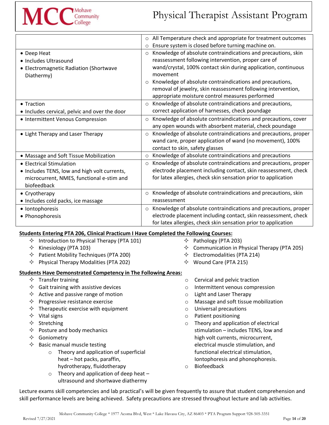

|                                               | All Temperature check and appropriate for treatment outcomes<br>$\circ$    |
|-----------------------------------------------|----------------------------------------------------------------------------|
|                                               | Ensure system is closed before turning machine on.<br>$\circ$              |
| • Deep Heat                                   | Knowledge of absolute contraindications and precautions, skin<br>$\circ$   |
| • Includes Ultrasound                         | reassessment following intervention, proper care of                        |
| • Electromagnetic Radiation (Shortwave        | wand/crystal, 100% contact skin during application, continuous             |
| Diathermy)                                    | movement                                                                   |
|                                               | Knowledge of absolute contraindications and precautions,<br>$\circ$        |
|                                               | removal of jewelry, skin reassessment following intervention,              |
|                                               | appropriate moisture control measures performed                            |
| • Traction                                    | Knowledge of absolute contraindications and precautions,<br>$\circ$        |
| • Includes cervical, pelvic and over the door | correct application of harnesses, check poundage                           |
| • Intermittent Venous Compression             | Knowledge of absolute contraindications and precautions, cover<br>$\circ$  |
|                                               | any open wounds with absorbent material, check poundage                    |
| • Light Therapy and Laser Therapy             | Knowledge of absolute contraindications and precautions, proper<br>$\circ$ |
|                                               | wand care, proper application of wand (no movement), 100%                  |
|                                               | contact to skin, safety glasses                                            |
| • Massage and Soft Tissue Mobilization        | Knowledge of absolute contraindications and precautions<br>$\circ$         |
| • Electrical Stimulation                      | Knowledge of absolute contraindications and precautions, proper<br>$\circ$ |
| • Includes TENS, low and high volt currents,  | electrode placement including contact, skin reassessment, check            |
| microcurrent, NMES, functional e-stim and     | for latex allergies, check skin sensation prior to application             |
| biofeedback                                   |                                                                            |
| • Cryotherapy                                 | Knowledge of absolute contraindications and precautions, skin<br>$\circ$   |
| · Includes cold packs, ice massage            | reassessment                                                               |
| • Iontophoresis                               | Knowledge of absolute contraindications and precautions, proper<br>$\circ$ |
| • Phonophoresis                               | electrode placement including contact, skin reassessment, check            |
|                                               | for latex allergies, check skin sensation prior to application             |

## **Students Entering PTA 206, Clinical Practicum I Have Completed the Following Courses:**

- $\Diamond$  Introduction to Physical Therapy (PTA 101)
- $\Diamond$  Kinesiology (PTA 103)
- $\Diamond$  Patient Mobility Techniques (PTA 200)
- $\Diamond$  Physical Therapy Modalities (PTA 202)

#### **Students Have Demonstrated Competency in The Following Areas:**

- $\Diamond$  Transfer training
- $\Diamond$  Gait training with assistive devices
- $\Diamond$  Active and passive range of motion
- $\Diamond$  Progressive resistance exercise
- $\Diamond$  Therapeutic exercise with equipment
- $\diamond$  Vital signs
- $\Leftrightarrow$  Stretching
- $\Leftrightarrow$  Posture and body mechanics
- $\Leftrightarrow$  Goniometry
- $\Leftrightarrow$  Basic manual muscle testing
	- o Theory and application of superficial heat – hot packs, paraffin, hydrotherapy, fluidotherapy
	- $\circ$  Theory and application of deep heat ultrasound and shortwave diathermy

 $\Diamond$  Communication in Physical Therapy (PTA 205)

 $\Diamond$  Pathology (PTA 203)

- $\Diamond$  Electromodalities (PTA 214)
- $\diamond$  Wound Care (PTA 215)
- o Cervical and pelvic traction
- o Intermittent venous compression
- o Light and Laser Therapy
- o Massage and soft tissue mobilization
- o Universal precautions
- o Patient positioning
- o Theory and application of electrical stimulation – includes TENS, low and high volt currents, microcurrent, electrical muscle stimulation, and functional electrical stimulation, Iontophoresis and phonophoresis.
- o Biofeedback

Lecture exams skill competencies and lab practical's will be given frequently to assure that student comprehension and skill performance levels are being achieved. Safety precautions are stressed throughout lecture and lab activities.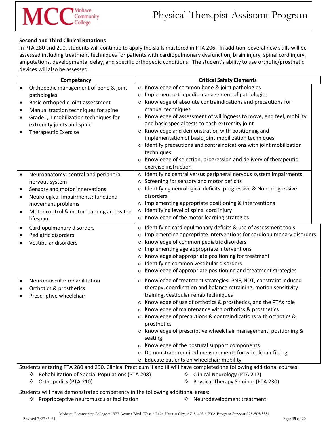#### **Second and Third Clinical Rotations**

In PTA 280 and 290, students will continue to apply the skills mastered in PTA 206. In addition, several new skills will be assessed including treatment techniques for patients with cardiopulmonary dysfunction, brain injury, spinal cord injury, amputations, developmental delay, and specific orthopedic conditions. The student's ability to use orthotic/prosthetic devices will also be assessed.

| Competency                                             | <b>Critical Safety Elements</b>                                                                                                                                  |
|--------------------------------------------------------|------------------------------------------------------------------------------------------------------------------------------------------------------------------|
| Orthopedic management of bone & joint<br>$\bullet$     | ○ Knowledge of common bone & joint pathologies                                                                                                                   |
| pathologies                                            | Implement orthopedic management of pathologies<br>$\circ$                                                                                                        |
| Basic orthopedic joint assessment<br>$\bullet$         | Knowledge of absolute contraindications and precautions for<br>$\circ$                                                                                           |
| Manual traction techniques for spine<br>$\bullet$      | manual techniques                                                                                                                                                |
| Grade I, II mobilization techniques for<br>$\bullet$   | o Knowledge of assessment of willingness to move, end feel, mobility                                                                                             |
| extremity joints and spine                             | and basic special tests to each extremity joint                                                                                                                  |
| <b>Therapeutic Exercise</b>                            | o Knowledge and demonstration with positioning and                                                                                                               |
|                                                        | implementation of basic joint mobilization techniques                                                                                                            |
|                                                        | o Identify precautions and contraindications with joint mobilization                                                                                             |
|                                                        | techniques                                                                                                                                                       |
|                                                        | o Knowledge of selection, progression and delivery of therapeutic                                                                                                |
|                                                        | exercise instruction                                                                                                                                             |
| Neuroanatomy: central and peripheral<br>$\bullet$      | o Identifying central versus peripheral nervous system impairments                                                                                               |
| nervous system                                         | o Screening for sensory and motor deficits                                                                                                                       |
| Sensory and motor innervations<br>$\bullet$            | Identifying neurological deficits: progressive & Non-progressive<br>$\circ$                                                                                      |
| Neurological Impairments: functional<br>$\bullet$      | disorders                                                                                                                                                        |
| movement problems                                      | o Implementing appropriate positioning & interventions                                                                                                           |
| Motor control & motor learning across the<br>$\bullet$ | $\circ$ Identifying level of spinal cord injury                                                                                                                  |
| lifespan                                               | ○ Knowledge of the motor learning strategies                                                                                                                     |
| Cardiopulmonary disorders<br>$\bullet$                 | o Identifying cardiopulmonary deficits & use of assessment tools                                                                                                 |
| Pediatric disorders<br>$\bullet$                       | Implementing appropriate interventions for cardiopulmonary disorders<br>$\circ$                                                                                  |
| Vestibular disorders                                   | Knowledge of common pediatric disorders<br>O                                                                                                                     |
|                                                        | Implementing age appropriate interventions<br>$\circ$                                                                                                            |
|                                                        | Knowledge of appropriate positioning for treatment<br>$\circ$                                                                                                    |
|                                                        | Identifying common vestibular disorders<br>$\circ$                                                                                                               |
|                                                        | o Knowledge of appropriate positioning and treatment strategies                                                                                                  |
| Neuromuscular rehabilitation<br>$\bullet$              | o Knowledge of treatment strategies: PNF, NDT, constraint induced                                                                                                |
| Orthotics & prosthetics<br>٠                           | therapy, coordination and balance retraining, motion sensitivity                                                                                                 |
| Prescriptive wheelchair                                | training, vestibular rehab techniques                                                                                                                            |
|                                                        | o Knowledge of use of orthotics & prosthetics, and the PTAs role                                                                                                 |
|                                                        | ○ Knowledge of maintenance with orthotics & prosthetics                                                                                                          |
|                                                        | o Knowledge of precautions & contraindications with orthotics &                                                                                                  |
|                                                        | prosthetics                                                                                                                                                      |
|                                                        | $\circ$ Knowledge of prescriptive wheelchair management, positioning &                                                                                           |
|                                                        | seating                                                                                                                                                          |
|                                                        | o Knowledge of the postural support components                                                                                                                   |
|                                                        | o Demonstrate required measurements for wheelchair fitting                                                                                                       |
|                                                        | o Educate patients on wheelchair mobility<br>China bracing Dr. 1980 and 200 Clinical Practicum II part Illivill have completed the following additional courses: |

Students entering PTA 280 and 290, Clinical Practicum II and III will have completed the following additional courses:

- $\Diamond$  Rehabilitation of Special Populations (PTA 208)
- $\Diamond$  Clinical Neurology (PTA 217)

 $\Diamond$  Orthopedics (PTA 210)

 $\Diamond$  Physical Therapy Seminar (PTA 230)

Students will have demonstrated competency in the following additional areas:

- $\Diamond$  Proprioceptive neuromuscular facilitation  $\Diamond$  Neurodevelopment treatment
-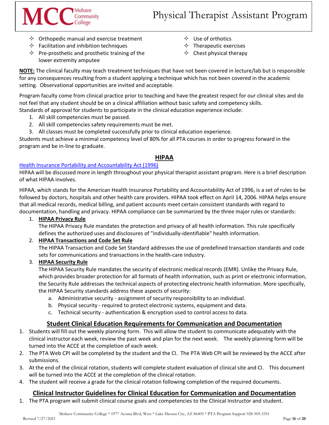- $\Diamond$  Orthopedic manual and exercise treatment
- $\Diamond$  Facilitation and inhibition techniques

 $MCC_{\text{Complex}}^{\text{Monmunity}}$ 

- $\Diamond$  Pre-prosthetic and prosthetic training of the lower extremity amputee
- $\Diamond$  Use of orthotics
- $\Diamond$  Therapeutic exercises
- $\Leftrightarrow$  Chest physical therapy

**NOTE:** The clinical faculty may teach treatment techniques that have not been covered in lecture/lab but is responsible for any consequences resulting from a student applying a technique which has not been covered in the academic setting. Observational opportunities are invited and acceptable.

Program faculty come from clinical practice prior to teaching and have the greatest respect for our clinical sites and do not feel that any student should be on a clinical affiliation without basic safety and competency skills. Standards of approval for students to participate in the clinical education experience include:

- 1. All skill competencies must be passed.
- 2. All skill competencies safety requirements must be met.
- 3. All classes must be completed successfully prior to clinical education experience.

Students must achieve a minimal competency level of 80% for all PTA courses in order to progress forward in the program and be in-line to graduate.

# **HIPAA**

## <span id="page-15-0"></span>[Health Insurance Portability and Accountability Act \(1996\)](https://www.hhs.gov/hipaa/index.html)

HIPAA will be discussed more in length throughout your physical therapist assistant program. Here is a brief description of what HIPAA involves.

HIPAA, which stands for the American Health Insurance Portability and Accountability Act of 1996, is a set of rules to be followed by doctors, hospitals and other health care providers. HIPAA took effect on April 14, 2006. HIPAA helps ensure that all medical records, medical billing, and patient accounts meet certain consistent standards with regard to documentation, handling and privacy. HIPAA compliance can be summarized by the three major rules or standards:

## 1. **HIPAA Privacy Rule**

The HIPAA Privacy Rule mandates the protection and privacy of all health information. This rule specifically defines the authorized uses and disclosures of "individually-identifiable" health information.

## 2. **HIPAA Transactions and Code Set Rule**

The HIPAA Transaction and Code Set Standard addresses the use of predefined transaction standards and code sets for communications and transactions in the health-care industry.

## 3. **HIPAA Security Rule**

The HIPAA Security Rule mandates the security of electronic medical records (EMR). Unlike the Privacy Rule, which provides broader protection for all formats of health information, such as print or electronic information, the Security Rule addresses the technical aspects of protecting electronic health information. More specifically, the HIPAA Security standards address these aspects of security:

- a. Administrative security assignment of security responsibility to an individual.
- b. Physical security required to protect electronic systems, equipment and data.
- c. Technical security authentication & encryption used to control access to data.

# **Student Clinical Education Requirements for Communication and Documentation**

- <span id="page-15-1"></span>1. Students will fill out the weekly planning form. This will allow the student to communicate adequately with the clinical instructor each week, review the past week and plan for the next week. The weekly planning form will be turned into the ACCE at the completion of each week.
- 2. The PTA Web CPI will be completed by the student and the CI. The PTA Web CPI will be reviewed by the ACCE after submissions.
- 3. At the end of the clinical rotation, students will complete student evaluation of clinical site and CI. This document will be turned into the ACCE at the completion of the clinical rotation.
- 4. The student will receive a grade for the clinical rotation following completion of the required documents.

# **Clinical Instructor Guidelines for Clinical Education for Communication and Documentation**

<span id="page-15-2"></span>1. The PTA program will submit clinical course goals and competencies to the Clinical Instructor and student.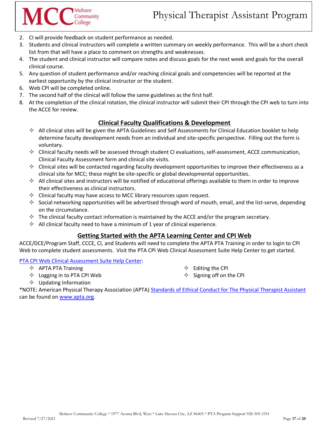2. CI will provide feedback on student performance as needed.

Mohave Community

- 3. Students and clinical instructors will complete a written summary on weekly performance. This will be a short check list from that will have a place to comment on strengths and weaknesses.
- 4. The student and clinical instructor will compare notes and discuss goals for the next week and goals for the overall clinical course.
- 5. Any question of student performance and/or reaching clinical goals and competencies will be reported at the earliest opportunity by the clinical instructor or the student.
- 6. Web CPI will be completed online.
- 7. The second half of the clinical will follow the same guidelines as the first half.
- 8. At the completion of the clinical rotation, the clinical instructor will submit their CPI through the CPI web to turn into the ACCE for review.

# **Clinical Faculty Qualifications & Development**

- <span id="page-16-0"></span> $\Diamond$  All clinical sites will be given the APTA Guidelines and Self Assessments for Clinical Education booklet to help determine faculty development needs from an individual and site-specific perspective. Filling out the form is voluntary.
- $\Diamond$  Clinical faculty needs will be assessed through student CI evaluations, self-assessment, ACCE communication, Clinical Faculty Assessment form and clinical site visits.
- $\Diamond$  Clinical sites will be contacted regarding faculty development opportunities to improve their effectiveness as a clinical site for MCC; these might be site-specific or global developmental opportunities.
- $\Diamond$  All clinical sites and instructors will be notified of educational offerings available to them in order to improve their effectiveness as clinical instructors.
- $\Diamond$  Clinical faculty may have access to MCC library resources upon request.
- $\diamond$  Social networking opportunities will be advertised through word of mouth, email, and the list-serve, depending on the circumstance.
- $\Diamond$  The clinical faculty contact information is maintained by the ACCE and/or the program secretary.
- $\Diamond$  All clinical faculty need to have a minimum of 1 year of clinical experience.

## **Getting Started with the APTA Learning Center and CPI Web**

<span id="page-16-1"></span>ACCE/DCE/Program Staff, CCCE, CI, and Students will need to complete the APTA PTA Training in order to login to CPI Web to complete student assessments. Visit the PTA CPI Web Clinical Assessment Suite Help Center to get started.

[PTA CPI Web Clinical Assessment Suite Help Center:](https://help.liaisonedu.com/Clinical_Assessment_Suite_Help_Center/CPI/PTA)

- $\Leftrightarrow$  APTA PTA Training
- $\Diamond$  Logging in to PTA CPI Web

 $\Leftrightarrow$  Editing the CPI

 $\Diamond$  Signing off on the CPI

 $\diamond$  Updating Information

\*NOTE: American Physical Therapy Association (APTA) Standards of Ethical Conduct for The Physical Therapist Assistant can be found on [www.apta.org.](http://www.apta.org/)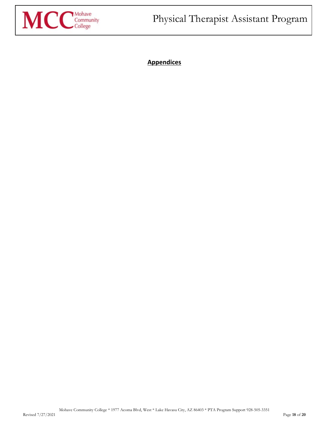<span id="page-17-0"></span>

**Appendices**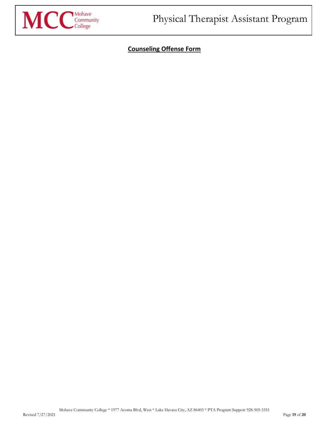<span id="page-18-0"></span>

# **Counseling Offense Form**